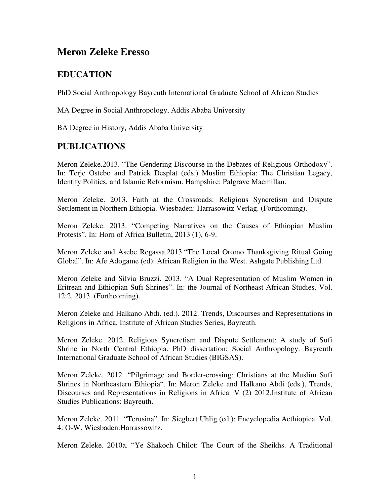## **Meron Zeleke Eresso**

## **EDUCATION**

PhD Social Anthropology Bayreuth International Graduate School of African Studies

MA Degree in Social Anthropology, Addis Ababa University

BA Degree in History, Addis Ababa University

#### **PUBLICATIONS**

Meron Zeleke.2013. "The Gendering Discourse in the Debates of Religious Orthodoxy". In: Terje Ostebo and Patrick Desplat (eds.) Muslim Ethiopia: The Christian Legacy, Identity Politics, and Islamic Reformism. Hampshire: Palgrave Macmillan.

Meron Zeleke. 2013. Faith at the Crossroads: Religious Syncretism and Dispute Settlement in Northern Ethiopia. Wiesbaden: Harrasowitz Verlag. (Forthcoming).

Meron Zeleke. 2013. "Competing Narratives on the Causes of Ethiopian Muslim Protests". In: Horn of Africa Bulletin, 2013 (1), 6-9.

Meron Zeleke and Asebe Regassa.2013."The Local Oromo Thanksgiving Ritual Going Global". In: Afe Adogame (ed): African Religion in the West. Ashgate Publishing Ltd.

Meron Zeleke and Silvia Bruzzi. 2013. "A Dual Representation of Muslim Women in Eritrean and Ethiopian Sufi Shrines". In: the Journal of Northeast African Studies. Vol. 12:2, 2013. (Forthcoming).

Meron Zeleke and Halkano Abdi. (ed.). 2012. Trends, Discourses and Representations in Religions in Africa. Institute of African Studies Series, Bayreuth.

Meron Zeleke. 2012. Religious Syncretism and Dispute Settlement: A study of Sufi Shrine in North Central Ethiopia. PhD dissertation: Social Anthropology. Bayreuth International Graduate School of African Studies (BIGSAS).

Meron Zeleke. 2012. "Pilgrimage and Border-crossing: Christians at the Muslim Sufi Shrines in Northeastern Ethiopia". In: Meron Zeleke and Halkano Abdi (eds.), Trends, Discourses and Representations in Religions in Africa. V (2) 2012.Institute of African Studies Publications: Bayreuth.

Meron Zeleke. 2011. "Terusina". In: Siegbert Uhlig (ed.): Encyclopedia Aethiopica. Vol. 4: O-W. Wiesbaden:Harrassowitz.

Meron Zeleke. 2010a. "Ye Shakoch Chilot: The Court of the Sheikhs. A Traditional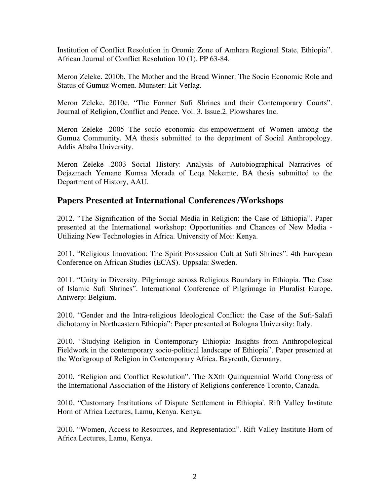Institution of Conflict Resolution in Oromia Zone of Amhara Regional State, Ethiopia". African Journal of Conflict Resolution 10 (1). PP 63-84.

Meron Zeleke. 2010b. The Mother and the Bread Winner: The Socio Economic Role and Status of Gumuz Women. Munster: Lit Verlag.

Meron Zeleke. 2010c. "The Former Sufi Shrines and their Contemporary Courts". Journal of Religion, Conflict and Peace. Vol. 3. Issue.2. Plowshares Inc.

Meron Zeleke .2005 The socio economic dis-empowerment of Women among the Gumuz Community. MA thesis submitted to the department of Social Anthropology. Addis Ababa University.

Meron Zeleke .2003 Social History: Analysis of Autobiographical Narratives of Dejazmach Yemane Kumsa Morada of Leqa Nekemte, BA thesis submitted to the Department of History, AAU.

#### **Papers Presented at International Conferences /Workshops**

2012. "The Signification of the Social Media in Religion: the Case of Ethiopia". Paper presented at the International workshop: Opportunities and Chances of New Media - Utilizing New Technologies in Africa. University of Moi: Kenya.

2011. "Religious Innovation: The Spirit Possession Cult at Sufi Shrines". 4th European Conference on African Studies (ECAS). Uppsala: Sweden.

2011. "Unity in Diversity. Pilgrimage across Religious Boundary in Ethiopia. The Case of Islamic Sufi Shrines". International Conference of Pilgrimage in Pluralist Europe. Antwerp: Belgium.

2010. "Gender and the Intra-religious Ideological Conflict: the Case of the Sufi-Salafi dichotomy in Northeastern Ethiopia": Paper presented at Bologna University: Italy.

2010. "Studying Religion in Contemporary Ethiopia: Insights from Anthropological Fieldwork in the contemporary socio-political landscape of Ethiopia". Paper presented at the Workgroup of Religion in Contemporary Africa. Bayreuth, Germany.

2010. "Religion and Conflict Resolution". The XXth Quinquennial World Congress of the International Association of the History of Religions conference Toronto, Canada.

2010. "Customary Institutions of Dispute Settlement in Ethiopia'. Rift Valley Institute Horn of Africa Lectures, Lamu, Kenya. Kenya.

2010. "Women, Access to Resources, and Representation". Rift Valley Institute Horn of Africa Lectures, Lamu, Kenya.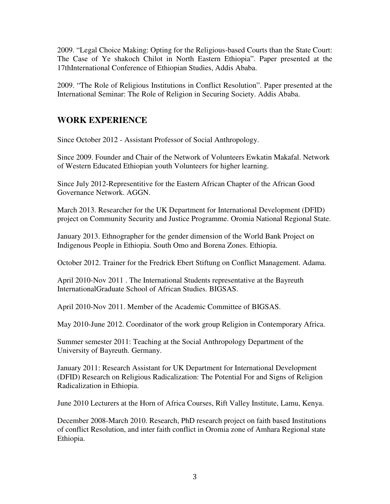2009. "Legal Choice Making: Opting for the Religious-based Courts than the State Court: The Case of Ye shakoch Chilot in North Eastern Ethiopia". Paper presented at the 17thInternational Conference of Ethiopian Studies, Addis Ababa.

2009. "The Role of Religious Institutions in Conflict Resolution". Paper presented at the International Seminar: The Role of Religion in Securing Society. Addis Ababa.

## **WORK EXPERIENCE**

Since October 2012 - Assistant Professor of Social Anthropology.

Since 2009. Founder and Chair of the Network of Volunteers Ewkatin Makafal. Network of Western Educated Ethiopian youth Volunteers for higher learning.

Since July 2012-Representitive for the Eastern African Chapter of the African Good Governance Network. AGGN.

March 2013. Researcher for the UK Department for International Development (DFID) project on Community Security and Justice Programme. Oromia National Regional State.

January 2013. Ethnographer for the gender dimension of the World Bank Project on Indigenous People in Ethiopia. South Omo and Borena Zones. Ethiopia.

October 2012. Trainer for the Fredrick Ebert Stiftung on Conflict Management. Adama.

April 2010-Nov 2011 . The International Students representative at the Bayreuth InternationalGraduate School of African Studies. BIGSAS.

April 2010-Nov 2011. Member of the Academic Committee of BIGSAS.

May 2010-June 2012. Coordinator of the work group Religion in Contemporary Africa.

Summer semester 2011: Teaching at the Social Anthropology Department of the University of Bayreuth. Germany.

January 2011: Research Assistant for UK Department for International Development (DFID) Research on Religious Radicalization: The Potential For and Signs of Religion Radicalization in Ethiopia.

June 2010 Lecturers at the Horn of Africa Courses, Rift Valley Institute, Lamu, Kenya.

December 2008-March 2010. Research, PhD research project on faith based Institutions of conflict Resolution, and inter faith conflict in Oromia zone of Amhara Regional state Ethiopia.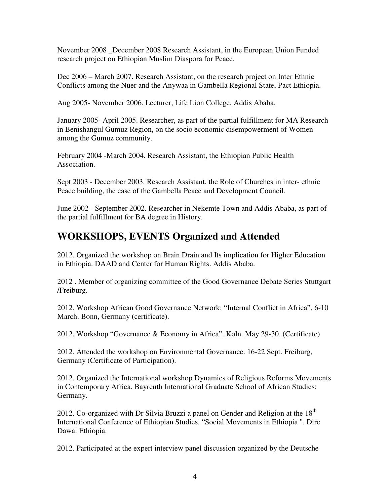November 2008 December 2008 Research Assistant, in the European Union Funded research project on Ethiopian Muslim Diaspora for Peace.

Dec 2006 – March 2007. Research Assistant, on the research project on Inter Ethnic Conflicts among the Nuer and the Anywaa in Gambella Regional State, Pact Ethiopia.

Aug 2005- November 2006. Lecturer, Life Lion College, Addis Ababa.

January 2005- April 2005. Researcher, as part of the partial fulfillment for MA Research in Benishangul Gumuz Region, on the socio economic disempowerment of Women among the Gumuz community.

February 2004 -March 2004. Research Assistant, the Ethiopian Public Health Association.

Sept 2003 - December 2003. Research Assistant, the Role of Churches in inter- ethnic Peace building, the case of the Gambella Peace and Development Council.

June 2002 - September 2002. Researcher in Nekemte Town and Addis Ababa, as part of the partial fulfillment for BA degree in History.

# **WORKSHOPS, EVENTS Organized and Attended**

2012. Organized the workshop on Brain Drain and Its implication for Higher Education in Ethiopia. DAAD and Center for Human Rights. Addis Ababa.

2012 . Member of organizing committee of the Good Governance Debate Series Stuttgart /Freiburg.

2012. Workshop African Good Governance Network: "Internal Conflict in Africa", 6-10 March. Bonn, Germany (certificate).

2012. Workshop "Governance & Economy in Africa". Koln. May 29-30. (Certificate)

2012. Attended the workshop on Environmental Governance. 16-22 Sept. Freiburg, Germany (Certificate of Participation).

2012. Organized the International workshop Dynamics of Religious Reforms Movements in Contemporary Africa. Bayreuth International Graduate School of African Studies: Germany.

2012. Co-organized with Dr Silvia Bruzzi a panel on Gender and Religion at the  $18<sup>th</sup>$ International Conference of Ethiopian Studies. "Social Movements in Ethiopia ". Dire Dawa: Ethiopia.

2012. Participated at the expert interview panel discussion organized by the Deutsche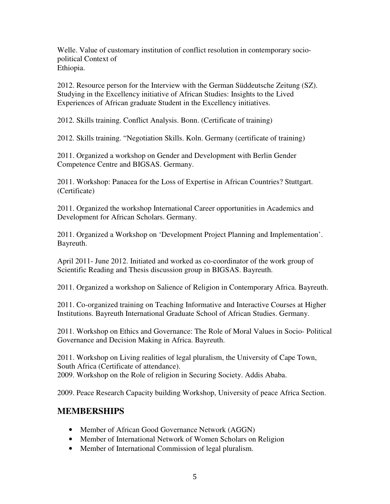Welle. Value of customary institution of conflict resolution in contemporary sociopolitical Context of Ethiopia.

2012. Resource person for the Interview with the German Süddeutsche Zeitung (SZ). Studying in the Excellency initiative of African Studies: Insights to the Lived Experiences of African graduate Student in the Excellency initiatives.

2012. Skills training. Conflict Analysis. Bonn. (Certificate of training)

2012. Skills training. "Negotiation Skills. Koln. Germany (certificate of training)

2011. Organized a workshop on Gender and Development with Berlin Gender Competence Centre and BIGSAS. Germany.

2011. Workshop: Panacea for the Loss of Expertise in African Countries? Stuttgart. (Certificate)

2011. Organized the workshop International Career opportunities in Academics and Development for African Scholars. Germany.

2011. Organized a Workshop on 'Development Project Planning and Implementation'. Bayreuth.

April 2011- June 2012. Initiated and worked as co-coordinator of the work group of Scientific Reading and Thesis discussion group in BIGSAS. Bayreuth.

2011. Organized a workshop on Salience of Religion in Contemporary Africa. Bayreuth.

2011. Co-organized training on Teaching Informative and Interactive Courses at Higher Institutions. Bayreuth International Graduate School of African Studies. Germany.

2011. Workshop on Ethics and Governance: The Role of Moral Values in Socio- Political Governance and Decision Making in Africa. Bayreuth.

2011. Workshop on Living realities of legal pluralism, the University of Cape Town, South Africa (Certificate of attendance). 2009. Workshop on the Role of religion in Securing Society. Addis Ababa.

2009. Peace Research Capacity building Workshop, University of peace Africa Section.

#### **MEMBERSHIPS**

- Member of African Good Governance Network (AGGN)
- Member of International Network of Women Scholars on Religion
- Member of International Commission of legal pluralism.